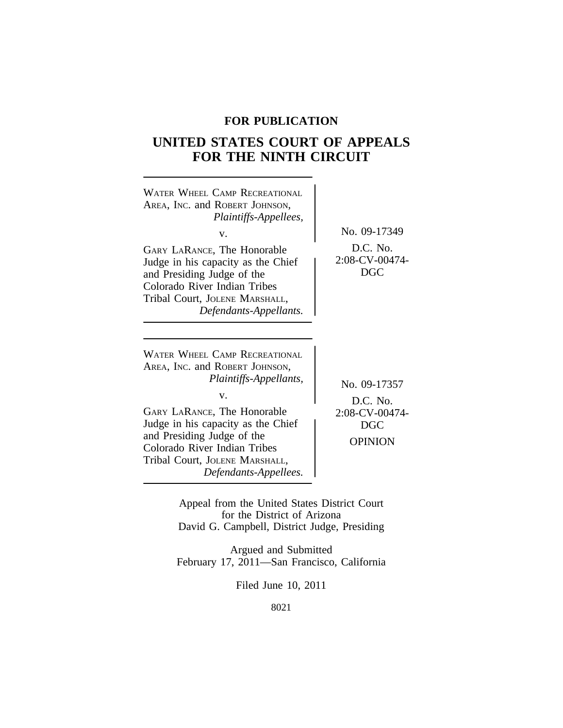# **FOR PUBLICATION**

# **UNITED STATES COURT OF APPEALS FOR THE NINTH CIRCUIT**



for the District of Arizona David G. Campbell, District Judge, Presiding

Argued and Submitted February 17, 2011—San Francisco, California

Filed June 10, 2011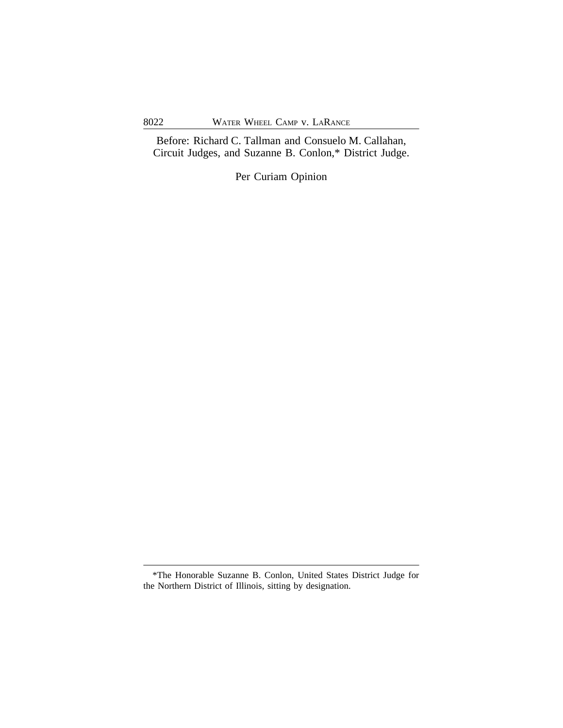Before: Richard C. Tallman and Consuelo M. Callahan, Circuit Judges, and Suzanne B. Conlon,\* District Judge.

Per Curiam Opinion

<sup>\*</sup>The Honorable Suzanne B. Conlon, United States District Judge for the Northern District of Illinois, sitting by designation.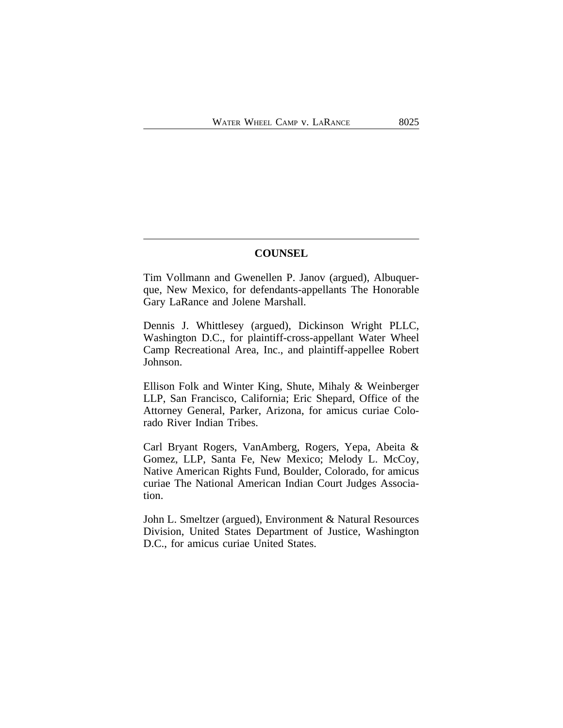### **COUNSEL**

Tim Vollmann and Gwenellen P. Janov (argued), Albuquerque, New Mexico, for defendants-appellants The Honorable Gary LaRance and Jolene Marshall.

Dennis J. Whittlesey (argued), Dickinson Wright PLLC, Washington D.C., for plaintiff-cross-appellant Water Wheel Camp Recreational Area, Inc., and plaintiff-appellee Robert Johnson.

Ellison Folk and Winter King, Shute, Mihaly & Weinberger LLP, San Francisco, California; Eric Shepard, Office of the Attorney General, Parker, Arizona, for amicus curiae Colorado River Indian Tribes.

Carl Bryant Rogers, VanAmberg, Rogers, Yepa, Abeita & Gomez, LLP, Santa Fe, New Mexico; Melody L. McCoy, Native American Rights Fund, Boulder, Colorado, for amicus curiae The National American Indian Court Judges Association.

John L. Smeltzer (argued), Environment & Natural Resources Division, United States Department of Justice, Washington D.C., for amicus curiae United States.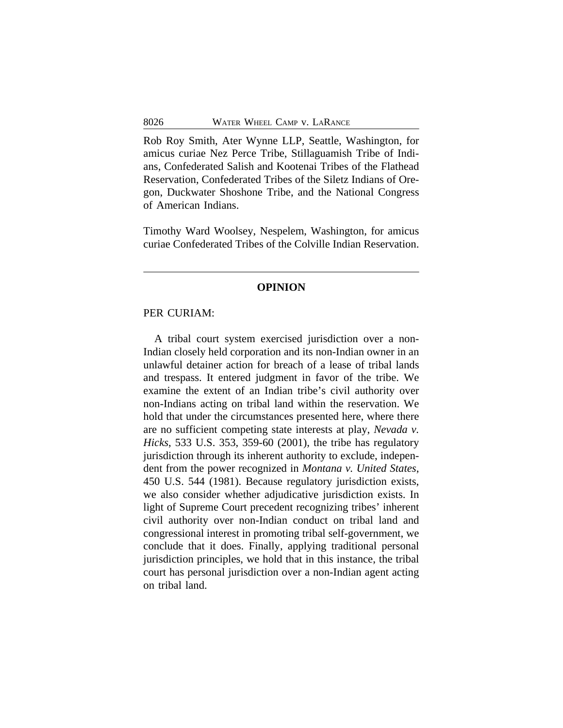Rob Roy Smith, Ater Wynne LLP, Seattle, Washington, for amicus curiae Nez Perce Tribe, Stillaguamish Tribe of Indians, Confederated Salish and Kootenai Tribes of the Flathead Reservation, Confederated Tribes of the Siletz Indians of Oregon, Duckwater Shoshone Tribe, and the National Congress of American Indians.

Timothy Ward Woolsey, Nespelem, Washington, for amicus curiae Confederated Tribes of the Colville Indian Reservation.

#### **OPINION**

### PER CURIAM:

A tribal court system exercised jurisdiction over a non-Indian closely held corporation and its non-Indian owner in an unlawful detainer action for breach of a lease of tribal lands and trespass. It entered judgment in favor of the tribe. We examine the extent of an Indian tribe's civil authority over non-Indians acting on tribal land within the reservation. We hold that under the circumstances presented here, where there are no sufficient competing state interests at play, *Nevada v. Hicks*, 533 U.S. 353, 359-60 (2001), the tribe has regulatory jurisdiction through its inherent authority to exclude, independent from the power recognized in *Montana v. United States*, 450 U.S. 544 (1981). Because regulatory jurisdiction exists, we also consider whether adjudicative jurisdiction exists. In light of Supreme Court precedent recognizing tribes' inherent civil authority over non-Indian conduct on tribal land and congressional interest in promoting tribal self-government, we conclude that it does. Finally, applying traditional personal jurisdiction principles, we hold that in this instance, the tribal court has personal jurisdiction over a non-Indian agent acting on tribal land.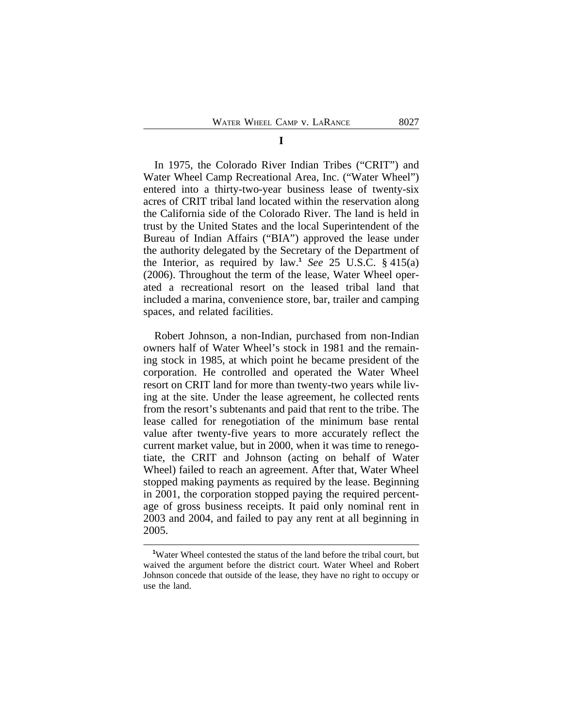### **I**

In 1975, the Colorado River Indian Tribes ("CRIT") and Water Wheel Camp Recreational Area, Inc. ("Water Wheel") entered into a thirty-two-year business lease of twenty-six acres of CRIT tribal land located within the reservation along the California side of the Colorado River. The land is held in trust by the United States and the local Superintendent of the Bureau of Indian Affairs ("BIA") approved the lease under the authority delegated by the Secretary of the Department of the Interior, as required by law.**<sup>1</sup>** *See* 25 U.S.C. § 415(a) (2006). Throughout the term of the lease, Water Wheel operated a recreational resort on the leased tribal land that included a marina, convenience store, bar, trailer and camping spaces, and related facilities.

Robert Johnson, a non-Indian, purchased from non-Indian owners half of Water Wheel's stock in 1981 and the remaining stock in 1985, at which point he became president of the corporation. He controlled and operated the Water Wheel resort on CRIT land for more than twenty-two years while living at the site. Under the lease agreement, he collected rents from the resort's subtenants and paid that rent to the tribe. The lease called for renegotiation of the minimum base rental value after twenty-five years to more accurately reflect the current market value, but in 2000, when it was time to renegotiate, the CRIT and Johnson (acting on behalf of Water Wheel) failed to reach an agreement. After that, Water Wheel stopped making payments as required by the lease. Beginning in 2001, the corporation stopped paying the required percentage of gross business receipts. It paid only nominal rent in 2003 and 2004, and failed to pay any rent at all beginning in 2005.

**<sup>1</sup>**Water Wheel contested the status of the land before the tribal court, but waived the argument before the district court. Water Wheel and Robert Johnson concede that outside of the lease, they have no right to occupy or use the land.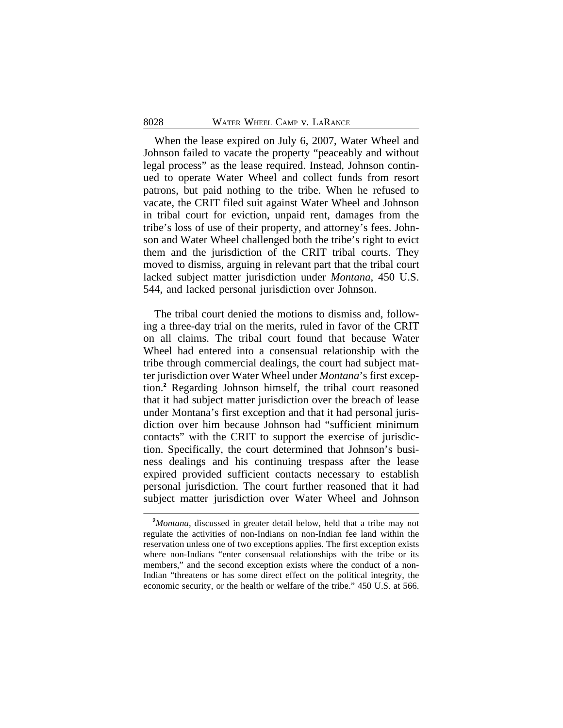When the lease expired on July 6, 2007, Water Wheel and Johnson failed to vacate the property "peaceably and without legal process" as the lease required. Instead, Johnson continued to operate Water Wheel and collect funds from resort patrons, but paid nothing to the tribe. When he refused to vacate, the CRIT filed suit against Water Wheel and Johnson in tribal court for eviction, unpaid rent, damages from the tribe's loss of use of their property, and attorney's fees. Johnson and Water Wheel challenged both the tribe's right to evict them and the jurisdiction of the CRIT tribal courts. They moved to dismiss, arguing in relevant part that the tribal court lacked subject matter jurisdiction under *Montana*, 450 U.S. 544, and lacked personal jurisdiction over Johnson.

The tribal court denied the motions to dismiss and, following a three-day trial on the merits, ruled in favor of the CRIT on all claims. The tribal court found that because Water Wheel had entered into a consensual relationship with the tribe through commercial dealings, the court had subject matter jurisdiction over Water Wheel under *Montana*'s first exception.**<sup>2</sup>** Regarding Johnson himself, the tribal court reasoned that it had subject matter jurisdiction over the breach of lease under Montana's first exception and that it had personal jurisdiction over him because Johnson had "sufficient minimum contacts" with the CRIT to support the exercise of jurisdiction. Specifically, the court determined that Johnson's business dealings and his continuing trespass after the lease expired provided sufficient contacts necessary to establish personal jurisdiction. The court further reasoned that it had subject matter jurisdiction over Water Wheel and Johnson

**<sup>2</sup>***Montana*, discussed in greater detail below, held that a tribe may not regulate the activities of non-Indians on non-Indian fee land within the reservation unless one of two exceptions applies. The first exception exists where non-Indians "enter consensual relationships with the tribe or its members," and the second exception exists where the conduct of a non-Indian "threatens or has some direct effect on the political integrity, the economic security, or the health or welfare of the tribe." 450 U.S. at 566.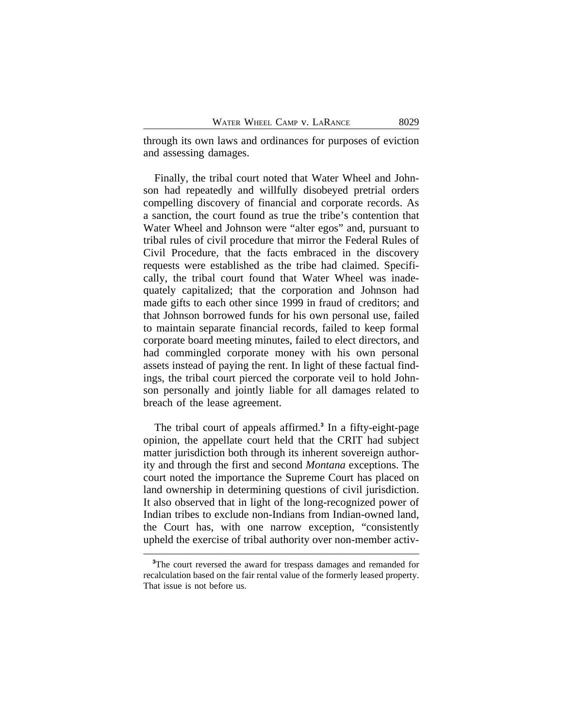through its own laws and ordinances for purposes of eviction and assessing damages.

Finally, the tribal court noted that Water Wheel and Johnson had repeatedly and willfully disobeyed pretrial orders compelling discovery of financial and corporate records. As a sanction, the court found as true the tribe's contention that Water Wheel and Johnson were "alter egos" and, pursuant to tribal rules of civil procedure that mirror the Federal Rules of Civil Procedure, that the facts embraced in the discovery requests were established as the tribe had claimed. Specifically, the tribal court found that Water Wheel was inadequately capitalized; that the corporation and Johnson had made gifts to each other since 1999 in fraud of creditors; and that Johnson borrowed funds for his own personal use, failed to maintain separate financial records, failed to keep formal corporate board meeting minutes, failed to elect directors, and had commingled corporate money with his own personal assets instead of paying the rent. In light of these factual findings, the tribal court pierced the corporate veil to hold Johnson personally and jointly liable for all damages related to breach of the lease agreement.

The tribal court of appeals affirmed.**<sup>3</sup>** In a fifty-eight-page opinion, the appellate court held that the CRIT had subject matter jurisdiction both through its inherent sovereign authority and through the first and second *Montana* exceptions. The court noted the importance the Supreme Court has placed on land ownership in determining questions of civil jurisdiction. It also observed that in light of the long-recognized power of Indian tribes to exclude non-Indians from Indian-owned land, the Court has, with one narrow exception, "consistently upheld the exercise of tribal authority over non-member activ-

**<sup>3</sup>**The court reversed the award for trespass damages and remanded for recalculation based on the fair rental value of the formerly leased property. That issue is not before us.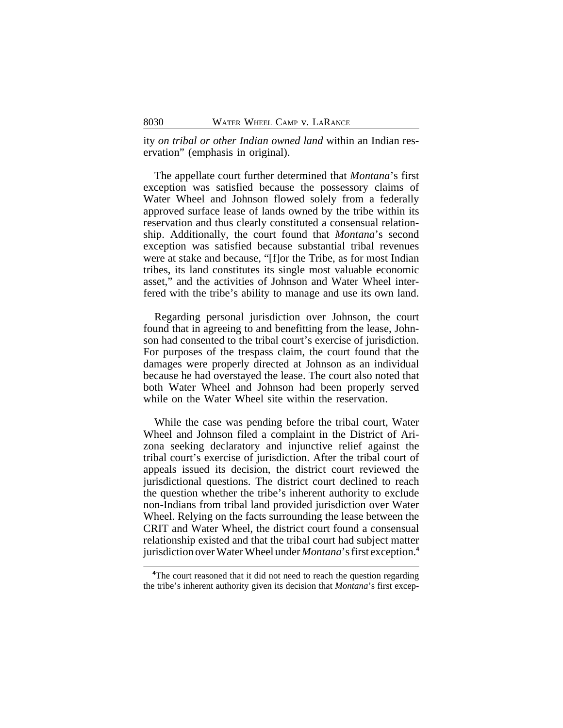ity *on tribal or other Indian owned land* within an Indian reservation" (emphasis in original).

The appellate court further determined that *Montana*'s first exception was satisfied because the possessory claims of Water Wheel and Johnson flowed solely from a federally approved surface lease of lands owned by the tribe within its reservation and thus clearly constituted a consensual relationship. Additionally, the court found that *Montana*'s second exception was satisfied because substantial tribal revenues were at stake and because, "[f]or the Tribe, as for most Indian tribes, its land constitutes its single most valuable economic asset," and the activities of Johnson and Water Wheel interfered with the tribe's ability to manage and use its own land.

Regarding personal jurisdiction over Johnson, the court found that in agreeing to and benefitting from the lease, Johnson had consented to the tribal court's exercise of jurisdiction. For purposes of the trespass claim, the court found that the damages were properly directed at Johnson as an individual because he had overstayed the lease. The court also noted that both Water Wheel and Johnson had been properly served while on the Water Wheel site within the reservation.

While the case was pending before the tribal court, Water Wheel and Johnson filed a complaint in the District of Arizona seeking declaratory and injunctive relief against the tribal court's exercise of jurisdiction. After the tribal court of appeals issued its decision, the district court reviewed the jurisdictional questions. The district court declined to reach the question whether the tribe's inherent authority to exclude non-Indians from tribal land provided jurisdiction over Water Wheel. Relying on the facts surrounding the lease between the CRIT and Water Wheel, the district court found a consensual relationship existed and that the tribal court had subject matter jurisdiction over Water Wheel under *Montana*'s first exception.**<sup>4</sup>**

<sup>&</sup>lt;sup>4</sup>The court reasoned that it did not need to reach the question regarding the tribe's inherent authority given its decision that *Montana*'s first excep-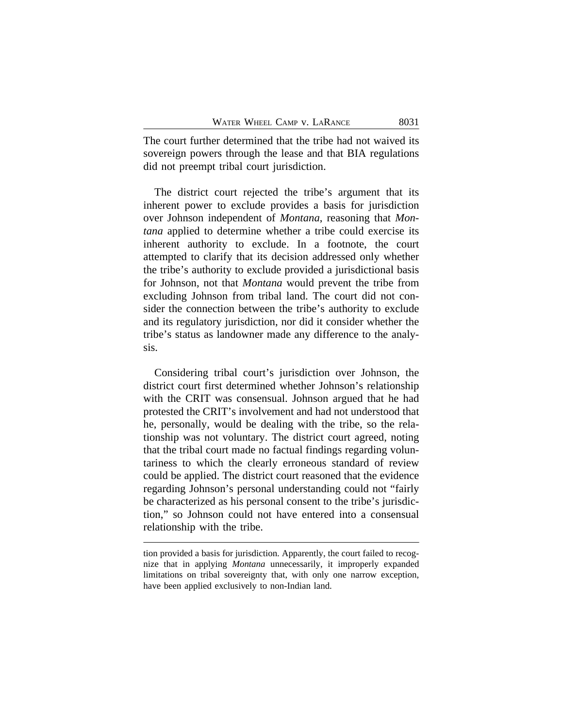The court further determined that the tribe had not waived its sovereign powers through the lease and that BIA regulations did not preempt tribal court jurisdiction.

The district court rejected the tribe's argument that its inherent power to exclude provides a basis for jurisdiction over Johnson independent of *Montana*, reasoning that *Montana* applied to determine whether a tribe could exercise its inherent authority to exclude. In a footnote, the court attempted to clarify that its decision addressed only whether the tribe's authority to exclude provided a jurisdictional basis for Johnson, not that *Montana* would prevent the tribe from excluding Johnson from tribal land. The court did not consider the connection between the tribe's authority to exclude and its regulatory jurisdiction, nor did it consider whether the tribe's status as landowner made any difference to the analysis.

Considering tribal court's jurisdiction over Johnson, the district court first determined whether Johnson's relationship with the CRIT was consensual. Johnson argued that he had protested the CRIT's involvement and had not understood that he, personally, would be dealing with the tribe, so the relationship was not voluntary. The district court agreed, noting that the tribal court made no factual findings regarding voluntariness to which the clearly erroneous standard of review could be applied. The district court reasoned that the evidence regarding Johnson's personal understanding could not "fairly be characterized as his personal consent to the tribe's jurisdiction," so Johnson could not have entered into a consensual relationship with the tribe.

tion provided a basis for jurisdiction. Apparently, the court failed to recognize that in applying *Montana* unnecessarily, it improperly expanded limitations on tribal sovereignty that, with only one narrow exception, have been applied exclusively to non-Indian land.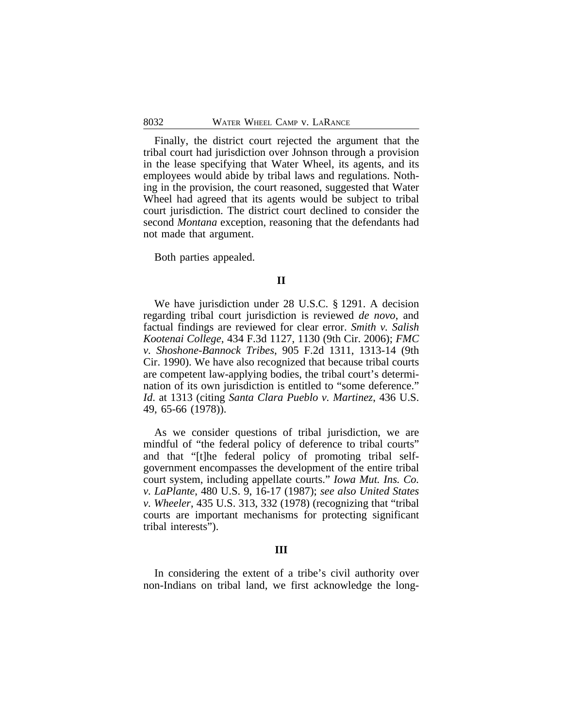Finally, the district court rejected the argument that the tribal court had jurisdiction over Johnson through a provision in the lease specifying that Water Wheel, its agents, and its employees would abide by tribal laws and regulations. Nothing in the provision, the court reasoned, suggested that Water Wheel had agreed that its agents would be subject to tribal court jurisdiction. The district court declined to consider the second *Montana* exception, reasoning that the defendants had not made that argument.

Both parties appealed.

### **II**

We have jurisdiction under 28 U.S.C. § 1291. A decision regarding tribal court jurisdiction is reviewed *de novo*, and factual findings are reviewed for clear error. *Smith v. Salish Kootenai College*, 434 F.3d 1127, 1130 (9th Cir. 2006); *FMC v. Shoshone-Bannock Tribes*, 905 F.2d 1311, 1313-14 (9th Cir. 1990). We have also recognized that because tribal courts are competent law-applying bodies, the tribal court's determination of its own jurisdiction is entitled to "some deference." *Id*. at 1313 (citing *Santa Clara Pueblo v. Martinez*, 436 U.S. 49, 65-66 (1978)).

As we consider questions of tribal jurisdiction, we are mindful of "the federal policy of deference to tribal courts" and that "[t]he federal policy of promoting tribal selfgovernment encompasses the development of the entire tribal court system, including appellate courts." *Iowa Mut. Ins. Co. v. LaPlante*, 480 U.S. 9, 16-17 (1987); *see also United States v. Wheeler*, 435 U.S. 313, 332 (1978) (recognizing that "tribal courts are important mechanisms for protecting significant tribal interests").

#### **III**

In considering the extent of a tribe's civil authority over non-Indians on tribal land, we first acknowledge the long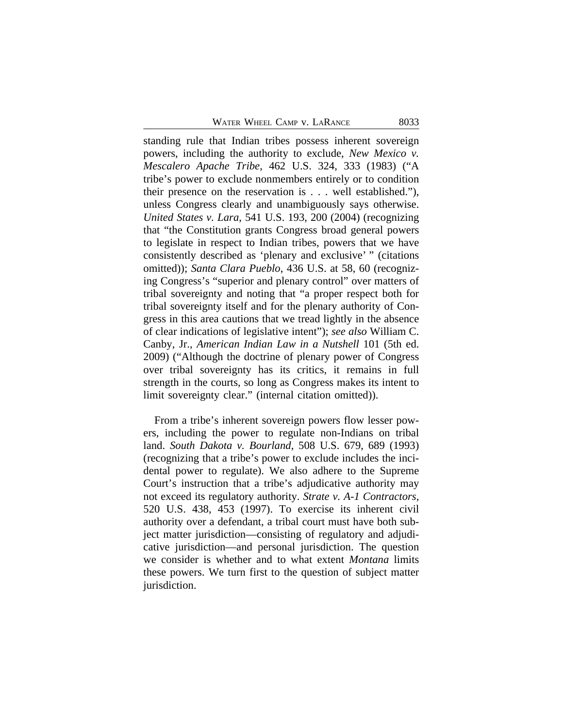standing rule that Indian tribes possess inherent sovereign powers, including the authority to exclude, *New Mexico v. Mescalero Apache Tribe*, 462 U.S. 324, 333 (1983) ("A tribe's power to exclude nonmembers entirely or to condition their presence on the reservation is . . . well established."), unless Congress clearly and unambiguously says otherwise. *United States v. Lara*, 541 U.S. 193, 200 (2004) (recognizing that "the Constitution grants Congress broad general powers to legislate in respect to Indian tribes, powers that we have consistently described as 'plenary and exclusive' " (citations omitted)); *Santa Clara Pueblo*, 436 U.S. at 58, 60 (recognizing Congress's "superior and plenary control" over matters of tribal sovereignty and noting that "a proper respect both for tribal sovereignty itself and for the plenary authority of Congress in this area cautions that we tread lightly in the absence of clear indications of legislative intent"); *see also* William C. Canby, Jr., *American Indian Law in a Nutshell* 101 (5th ed. 2009) ("Although the doctrine of plenary power of Congress over tribal sovereignty has its critics, it remains in full strength in the courts, so long as Congress makes its intent to limit sovereignty clear." (internal citation omitted)).

From a tribe's inherent sovereign powers flow lesser powers, including the power to regulate non-Indians on tribal land. *South Dakota v. Bourland*, 508 U.S. 679, 689 (1993) (recognizing that a tribe's power to exclude includes the incidental power to regulate). We also adhere to the Supreme Court's instruction that a tribe's adjudicative authority may not exceed its regulatory authority. *Strate v. A-1 Contractors*, 520 U.S. 438, 453 (1997). To exercise its inherent civil authority over a defendant, a tribal court must have both subject matter jurisdiction—consisting of regulatory and adjudicative jurisdiction—and personal jurisdiction. The question we consider is whether and to what extent *Montana* limits these powers. We turn first to the question of subject matter jurisdiction.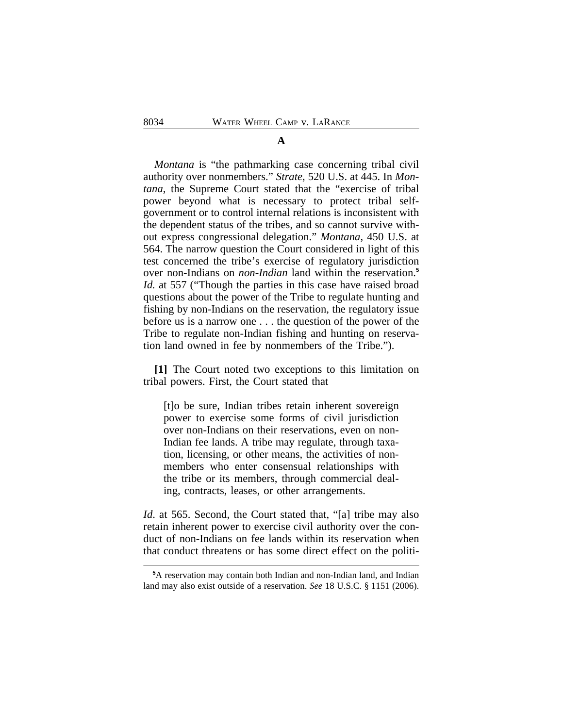#### **A**

*Montana* is "the pathmarking case concerning tribal civil authority over nonmembers." *Strate*, 520 U.S. at 445. In *Montana*, the Supreme Court stated that the "exercise of tribal power beyond what is necessary to protect tribal selfgovernment or to control internal relations is inconsistent with the dependent status of the tribes, and so cannot survive without express congressional delegation." *Montana*, 450 U.S. at 564. The narrow question the Court considered in light of this test concerned the tribe's exercise of regulatory jurisdiction over non-Indians on *non-Indian* land within the reservation.**<sup>5</sup>** *Id.* at 557 ("Though the parties in this case have raised broad questions about the power of the Tribe to regulate hunting and fishing by non-Indians on the reservation, the regulatory issue before us is a narrow one . . . the question of the power of the Tribe to regulate non-Indian fishing and hunting on reservation land owned in fee by nonmembers of the Tribe.").

**[1]** The Court noted two exceptions to this limitation on tribal powers. First, the Court stated that

[t]o be sure, Indian tribes retain inherent sovereign power to exercise some forms of civil jurisdiction over non-Indians on their reservations, even on non-Indian fee lands. A tribe may regulate, through taxation, licensing, or other means, the activities of nonmembers who enter consensual relationships with the tribe or its members, through commercial dealing, contracts, leases, or other arrangements.

*Id*. at 565. Second, the Court stated that, "[a] tribe may also retain inherent power to exercise civil authority over the conduct of non-Indians on fee lands within its reservation when that conduct threatens or has some direct effect on the politi-

**<sup>5</sup>**A reservation may contain both Indian and non-Indian land, and Indian land may also exist outside of a reservation. *See* 18 U.S.C. § 1151 (2006).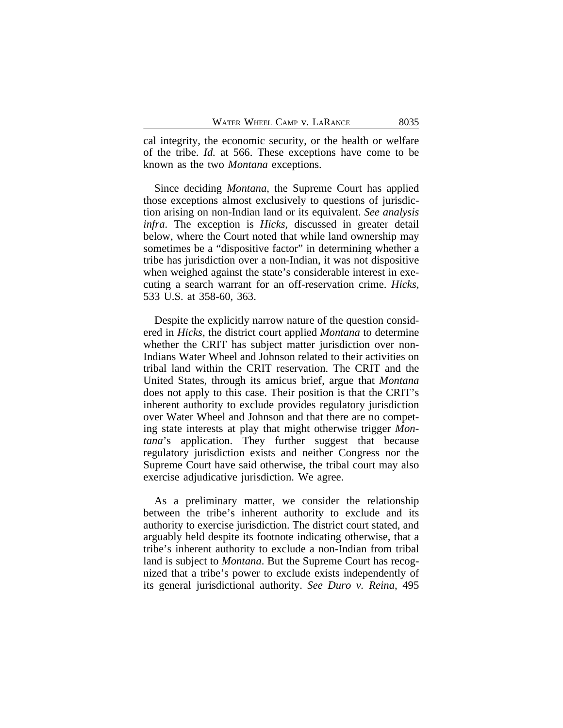cal integrity, the economic security, or the health or welfare of the tribe. *Id.* at 566. These exceptions have come to be known as the two *Montana* exceptions.

Since deciding *Montana*, the Supreme Court has applied those exceptions almost exclusively to questions of jurisdiction arising on non-Indian land or its equivalent. *See analysis infra*. The exception is *Hicks*, discussed in greater detail below, where the Court noted that while land ownership may sometimes be a "dispositive factor" in determining whether a tribe has jurisdiction over a non-Indian, it was not dispositive when weighed against the state's considerable interest in executing a search warrant for an off-reservation crime. *Hicks*, 533 U.S. at 358-60, 363.

Despite the explicitly narrow nature of the question considered in *Hicks*, the district court applied *Montana* to determine whether the CRIT has subject matter jurisdiction over non-Indians Water Wheel and Johnson related to their activities on tribal land within the CRIT reservation. The CRIT and the United States, through its amicus brief, argue that *Montana* does not apply to this case. Their position is that the CRIT's inherent authority to exclude provides regulatory jurisdiction over Water Wheel and Johnson and that there are no competing state interests at play that might otherwise trigger *Montana*'s application. They further suggest that because regulatory jurisdiction exists and neither Congress nor the Supreme Court have said otherwise, the tribal court may also exercise adjudicative jurisdiction. We agree.

As a preliminary matter, we consider the relationship between the tribe's inherent authority to exclude and its authority to exercise jurisdiction. The district court stated, and arguably held despite its footnote indicating otherwise, that a tribe's inherent authority to exclude a non-Indian from tribal land is subject to *Montana*. But the Supreme Court has recognized that a tribe's power to exclude exists independently of its general jurisdictional authority. *See Duro v. Reina*, 495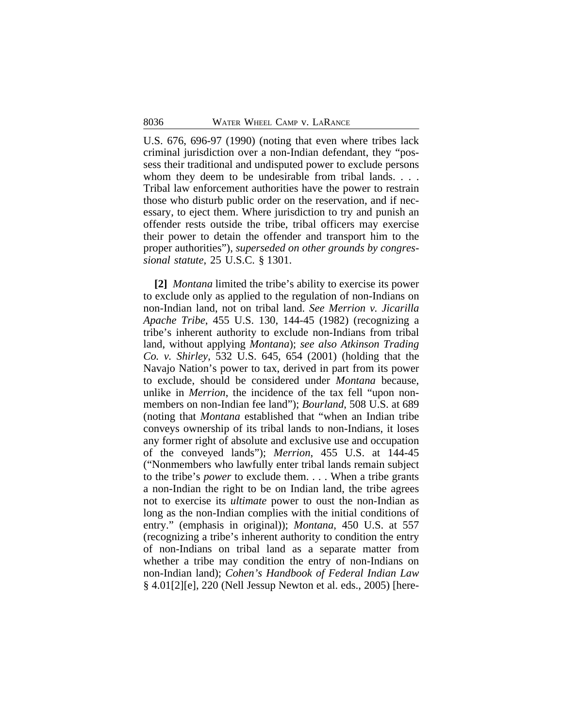U.S. 676, 696-97 (1990) (noting that even where tribes lack criminal jurisdiction over a non-Indian defendant, they "possess their traditional and undisputed power to exclude persons whom they deem to be undesirable from tribal lands. . . . Tribal law enforcement authorities have the power to restrain those who disturb public order on the reservation, and if necessary, to eject them. Where jurisdiction to try and punish an offender rests outside the tribe, tribal officers may exercise their power to detain the offender and transport him to the proper authorities"), *superseded on other grounds by congressional statute*, 25 U.S.C. § 1301.

**[2]** *Montana* limited the tribe's ability to exercise its power to exclude only as applied to the regulation of non-Indians on non-Indian land, not on tribal land. *See Merrion v. Jicarilla Apache Tribe*, 455 U.S. 130, 144-45 (1982) (recognizing a tribe's inherent authority to exclude non-Indians from tribal land, without applying *Montana*); *see also Atkinson Trading Co. v. Shirley*, 532 U.S. 645, 654 (2001) (holding that the Navajo Nation's power to tax, derived in part from its power to exclude, should be considered under *Montana* because, unlike in *Merrion*, the incidence of the tax fell "upon nonmembers on non-Indian fee land"); *Bourland*, 508 U.S. at 689 (noting that *Montana* established that "when an Indian tribe conveys ownership of its tribal lands to non-Indians, it loses any former right of absolute and exclusive use and occupation of the conveyed lands"); *Merrion*, 455 U.S. at 144-45 ("Nonmembers who lawfully enter tribal lands remain subject to the tribe's *power* to exclude them. . . . When a tribe grants a non-Indian the right to be on Indian land, the tribe agrees not to exercise its *ultimate* power to oust the non-Indian as long as the non-Indian complies with the initial conditions of entry." (emphasis in original)); *Montana*, 450 U.S. at 557 (recognizing a tribe's inherent authority to condition the entry of non-Indians on tribal land as a separate matter from whether a tribe may condition the entry of non-Indians on non-Indian land); *Cohen's Handbook of Federal Indian Law* § 4.01[2][e], 220 (Nell Jessup Newton et al. eds., 2005) [here-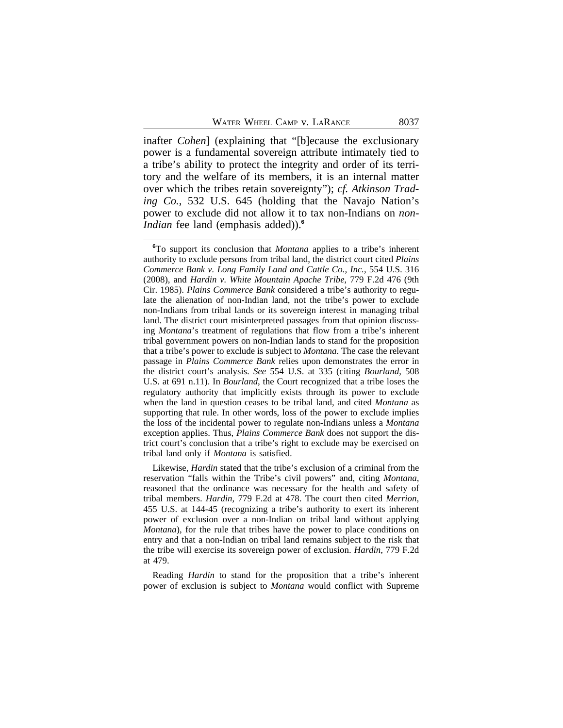inafter *Cohen*] (explaining that "[b]ecause the exclusionary power is a fundamental sovereign attribute intimately tied to a tribe's ability to protect the integrity and order of its territory and the welfare of its members, it is an internal matter over which the tribes retain sovereignty"); *cf. Atkinson Trading Co.*, 532 U.S. 645 (holding that the Navajo Nation's power to exclude did not allow it to tax non-Indians on *non-Indian* fee land (emphasis added)).<sup>6</sup>

Likewise, *Hardin* stated that the tribe's exclusion of a criminal from the reservation "falls within the Tribe's civil powers" and, citing *Montana*, reasoned that the ordinance was necessary for the health and safety of tribal members. *Hardin*, 779 F.2d at 478. The court then cited *Merrion*, 455 U.S. at 144-45 (recognizing a tribe's authority to exert its inherent power of exclusion over a non-Indian on tribal land without applying *Montana*), for the rule that tribes have the power to place conditions on entry and that a non-Indian on tribal land remains subject to the risk that the tribe will exercise its sovereign power of exclusion. *Hardin*, 779 F.2d at 479.

Reading *Hardin* to stand for the proposition that a tribe's inherent power of exclusion is subject to *Montana* would conflict with Supreme

**<sup>6</sup>**To support its conclusion that *Montana* applies to a tribe's inherent authority to exclude persons from tribal land, the district court cited *Plains Commerce Bank v. Long Family Land and Cattle Co., Inc.*, 554 U.S. 316 (2008), and *Hardin v. White Mountain Apache Tribe*, 779 F.2d 476 (9th Cir. 1985). *Plains Commerce Bank* considered a tribe's authority to regulate the alienation of non-Indian land, not the tribe's power to exclude non-Indians from tribal lands or its sovereign interest in managing tribal land. The district court misinterpreted passages from that opinion discussing *Montana*'s treatment of regulations that flow from a tribe's inherent tribal government powers on non-Indian lands to stand for the proposition that a tribe's power to exclude is subject to *Montana*. The case the relevant passage in *Plains Commerce Bank* relies upon demonstrates the error in the district court's analysis. *See* 554 U.S. at 335 (citing *Bourland*, 508 U.S. at 691 n.11). In *Bourland*, the Court recognized that a tribe loses the regulatory authority that implicitly exists through its power to exclude when the land in question ceases to be tribal land, and cited *Montana* as supporting that rule. In other words, loss of the power to exclude implies the loss of the incidental power to regulate non-Indians unless a *Montana* exception applies. Thus, *Plains Commerce Bank* does not support the district court's conclusion that a tribe's right to exclude may be exercised on tribal land only if *Montana* is satisfied.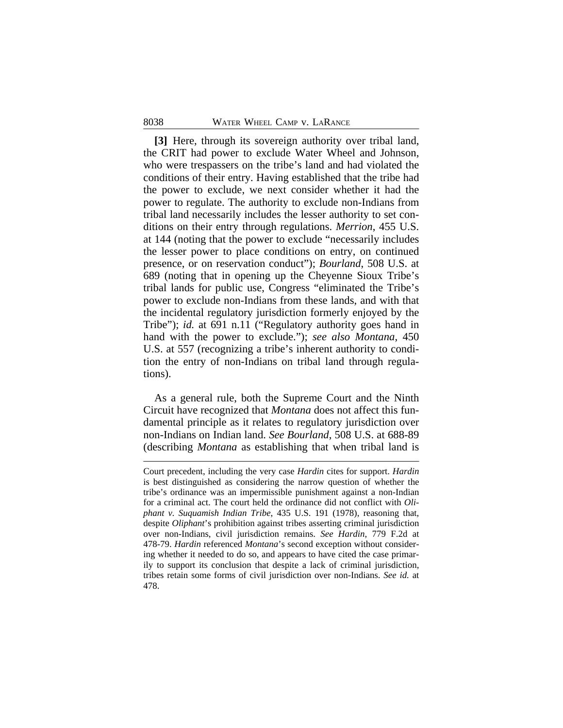**[3]** Here, through its sovereign authority over tribal land, the CRIT had power to exclude Water Wheel and Johnson, who were trespassers on the tribe's land and had violated the conditions of their entry. Having established that the tribe had the power to exclude, we next consider whether it had the power to regulate. The authority to exclude non-Indians from tribal land necessarily includes the lesser authority to set conditions on their entry through regulations. *Merrion*, 455 U.S. at 144 (noting that the power to exclude "necessarily includes the lesser power to place conditions on entry, on continued presence, or on reservation conduct"); *Bourland*, 508 U.S. at 689 (noting that in opening up the Cheyenne Sioux Tribe's tribal lands for public use, Congress "eliminated the Tribe's power to exclude non-Indians from these lands, and with that the incidental regulatory jurisdiction formerly enjoyed by the Tribe"); *id.* at 691 n.11 ("Regulatory authority goes hand in hand with the power to exclude."); *see also Montana*, 450 U.S. at 557 (recognizing a tribe's inherent authority to condition the entry of non-Indians on tribal land through regulations).

As a general rule, both the Supreme Court and the Ninth Circuit have recognized that *Montana* does not affect this fundamental principle as it relates to regulatory jurisdiction over non-Indians on Indian land. *See Bourland*, 508 U.S. at 688-89 (describing *Montana* as establishing that when tribal land is

Court precedent, including the very case *Hardin* cites for support. *Hardin* is best distinguished as considering the narrow question of whether the tribe's ordinance was an impermissible punishment against a non-Indian for a criminal act. The court held the ordinance did not conflict with *Oliphant v. Suquamish Indian Tribe*, 435 U.S. 191 (1978), reasoning that, despite *Oliphant*'s prohibition against tribes asserting criminal jurisdiction over non-Indians, civil jurisdiction remains. *See Hardin*, 779 F.2d at 478-79. *Hardin* referenced *Montana*'s second exception without considering whether it needed to do so, and appears to have cited the case primarily to support its conclusion that despite a lack of criminal jurisdiction, tribes retain some forms of civil jurisdiction over non-Indians. *See id.* at 478.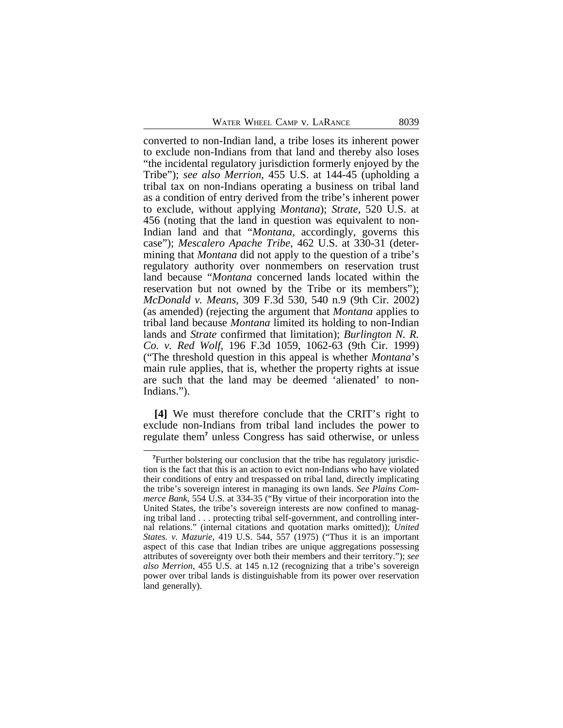converted to non-Indian land, a tribe loses its inherent power to exclude non-Indians from that land and thereby also loses "the incidental regulatory jurisdiction formerly enjoyed by the Tribe"); *see also Merrion*, 455 U.S. at 144-45 (upholding a tribal tax on non-Indians operating a business on tribal land as a condition of entry derived from the tribe's inherent power to exclude, without applying *Montana*); *Strate*, 520 U.S. at 456 (noting that the land in question was equivalent to non-Indian land and that "*Montana*, accordingly, governs this case"); *Mescalero Apache Tribe*, 462 U.S. at 330-31 (determining that *Montana* did not apply to the question of a tribe's regulatory authority over nonmembers on reservation trust land because "*Montana* concerned lands located within the reservation but not owned by the Tribe or its members"); *McDonald v. Means*, 309 F.3d 530, 540 n.9 (9th Cir. 2002) (as amended) (rejecting the argument that *Montana* applies to tribal land because *Montana* limited its holding to non-Indian lands and *Strate* confirmed that limitation); *Burlington N. R. Co. v. Red Wolf*, 196 F.3d 1059, 1062-63 (9th Cir. 1999) ("The threshold question in this appeal is whether *Montana*'s main rule applies, that is, whether the property rights at issue are such that the land may be deemed 'alienated' to non-Indians.").

**[4]** We must therefore conclude that the CRIT's right to exclude non-Indians from tribal land includes the power to regulate them<sup>7</sup> unless Congress has said otherwise, or unless

**<sup>7</sup>**Further bolstering our conclusion that the tribe has regulatory jurisdiction is the fact that this is an action to evict non-Indians who have violated their conditions of entry and trespassed on tribal land, directly implicating the tribe's sovereign interest in managing its own lands. *See Plains Commerce Bank*, 554 U.S. at 334-35 ("By virtue of their incorporation into the United States, the tribe's sovereign interests are now confined to managing tribal land . . . protecting tribal self-government, and controlling internal relations." (internal citations and quotation marks omitted)); *United States. v. Mazurie*, 419 U.S. 544, 557 (1975) ("Thus it is an important aspect of this case that Indian tribes are unique aggregations possessing attributes of sovereignty over both their members and their territory."); *see also Merrion*, 455 U.S. at 145 n.12 (recognizing that a tribe's sovereign power over tribal lands is distinguishable from its power over reservation land generally).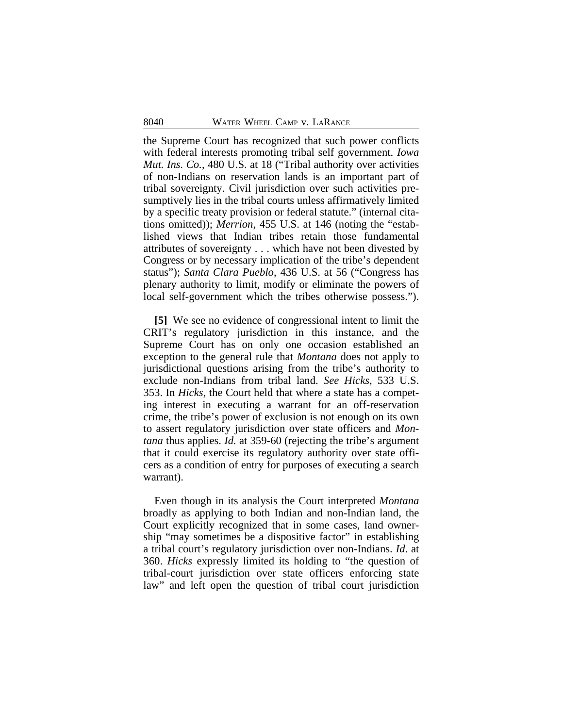the Supreme Court has recognized that such power conflicts with federal interests promoting tribal self government. *Iowa Mut. Ins. Co.*, 480 U.S. at 18 ("Tribal authority over activities of non-Indians on reservation lands is an important part of tribal sovereignty. Civil jurisdiction over such activities presumptively lies in the tribal courts unless affirmatively limited by a specific treaty provision or federal statute." (internal citations omitted)); *Merrion*, 455 U.S. at 146 (noting the "established views that Indian tribes retain those fundamental attributes of sovereignty . . . which have not been divested by Congress or by necessary implication of the tribe's dependent status"); *Santa Clara Pueblo*, 436 U.S. at 56 ("Congress has plenary authority to limit, modify or eliminate the powers of local self-government which the tribes otherwise possess.").

**[5]** We see no evidence of congressional intent to limit the CRIT's regulatory jurisdiction in this instance, and the Supreme Court has on only one occasion established an exception to the general rule that *Montana* does not apply to jurisdictional questions arising from the tribe's authority to exclude non-Indians from tribal land. *See Hicks*, 533 U.S. 353. In *Hicks*, the Court held that where a state has a competing interest in executing a warrant for an off-reservation crime, the tribe's power of exclusion is not enough on its own to assert regulatory jurisdiction over state officers and *Montana* thus applies. *Id.* at 359-60 (rejecting the tribe's argument that it could exercise its regulatory authority over state officers as a condition of entry for purposes of executing a search warrant).

Even though in its analysis the Court interpreted *Montana* broadly as applying to both Indian and non-Indian land, the Court explicitly recognized that in some cases, land ownership "may sometimes be a dispositive factor" in establishing a tribal court's regulatory jurisdiction over non-Indians. *Id*. at 360. *Hicks* expressly limited its holding to "the question of tribal-court jurisdiction over state officers enforcing state law" and left open the question of tribal court jurisdiction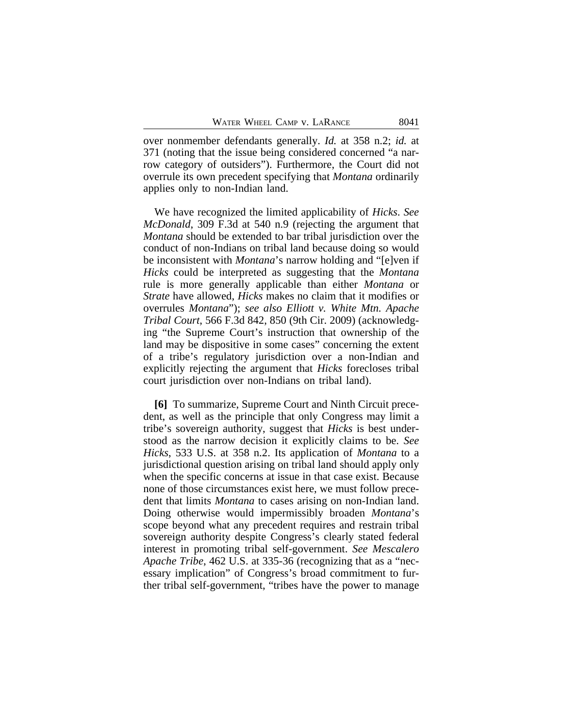over nonmember defendants generally. *Id.* at 358 n.2; *id.* at 371 (noting that the issue being considered concerned "a narrow category of outsiders"). Furthermore, the Court did not overrule its own precedent specifying that *Montana* ordinarily applies only to non-Indian land.

We have recognized the limited applicability of *Hicks*. *See McDonald*, 309 F.3d at 540 n.9 (rejecting the argument that *Montana* should be extended to bar tribal jurisdiction over the conduct of non-Indians on tribal land because doing so would be inconsistent with *Montana*'s narrow holding and "[e]ven if *Hicks* could be interpreted as suggesting that the *Montana* rule is more generally applicable than either *Montana* or *Strate* have allowed, *Hicks* makes no claim that it modifies or overrules *Montana*"); *see also Elliott v. White Mtn. Apache Tribal Court*, 566 F.3d 842, 850 (9th Cir. 2009) (acknowledging "the Supreme Court's instruction that ownership of the land may be dispositive in some cases" concerning the extent of a tribe's regulatory jurisdiction over a non-Indian and explicitly rejecting the argument that *Hicks* forecloses tribal court jurisdiction over non-Indians on tribal land).

**[6]** To summarize, Supreme Court and Ninth Circuit precedent, as well as the principle that only Congress may limit a tribe's sovereign authority, suggest that *Hicks* is best understood as the narrow decision it explicitly claims to be. *See Hicks*, 533 U.S. at 358 n.2. Its application of *Montana* to a jurisdictional question arising on tribal land should apply only when the specific concerns at issue in that case exist. Because none of those circumstances exist here, we must follow precedent that limits *Montana* to cases arising on non-Indian land. Doing otherwise would impermissibly broaden *Montana*'s scope beyond what any precedent requires and restrain tribal sovereign authority despite Congress's clearly stated federal interest in promoting tribal self-government. *See Mescalero Apache Tribe*, 462 U.S. at 335-36 (recognizing that as a "necessary implication" of Congress's broad commitment to further tribal self-government, "tribes have the power to manage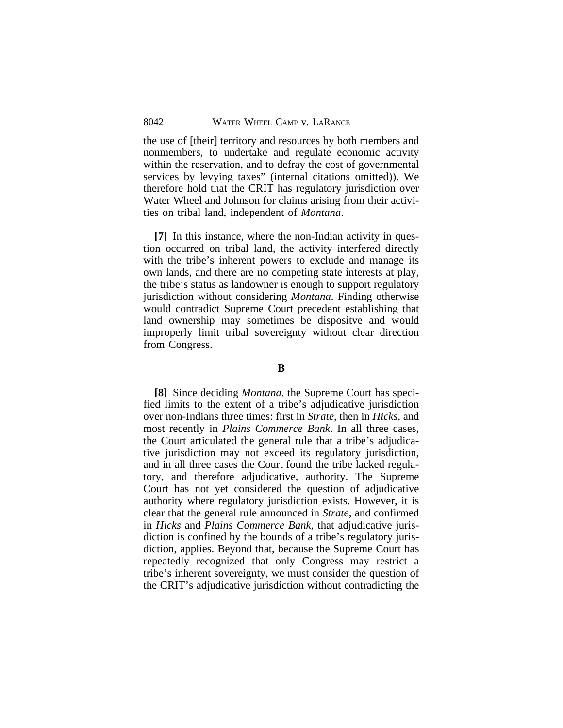the use of [their] territory and resources by both members and nonmembers, to undertake and regulate economic activity within the reservation, and to defray the cost of governmental services by levying taxes" (internal citations omitted)). We therefore hold that the CRIT has regulatory jurisdiction over Water Wheel and Johnson for claims arising from their activities on tribal land, independent of *Montana*.

**[7]** In this instance, where the non-Indian activity in question occurred on tribal land, the activity interfered directly with the tribe's inherent powers to exclude and manage its own lands, and there are no competing state interests at play, the tribe's status as landowner is enough to support regulatory jurisdiction without considering *Montana*. Finding otherwise would contradict Supreme Court precedent establishing that land ownership may sometimes be dispositve and would improperly limit tribal sovereignty without clear direction from Congress.

### **B**

**[8]** Since deciding *Montana*, the Supreme Court has specified limits to the extent of a tribe's adjudicative jurisdiction over non-Indians three times: first in *Strate*, then in *Hicks*, and most recently in *Plains Commerce Bank*. In all three cases, the Court articulated the general rule that a tribe's adjudicative jurisdiction may not exceed its regulatory jurisdiction, and in all three cases the Court found the tribe lacked regulatory, and therefore adjudicative, authority. The Supreme Court has not yet considered the question of adjudicative authority where regulatory jurisdiction exists. However, it is clear that the general rule announced in *Strate*, and confirmed in *Hicks* and *Plains Commerce Bank,* that adjudicative jurisdiction is confined by the bounds of a tribe's regulatory jurisdiction, applies. Beyond that, because the Supreme Court has repeatedly recognized that only Congress may restrict a tribe's inherent sovereignty, we must consider the question of the CRIT's adjudicative jurisdiction without contradicting the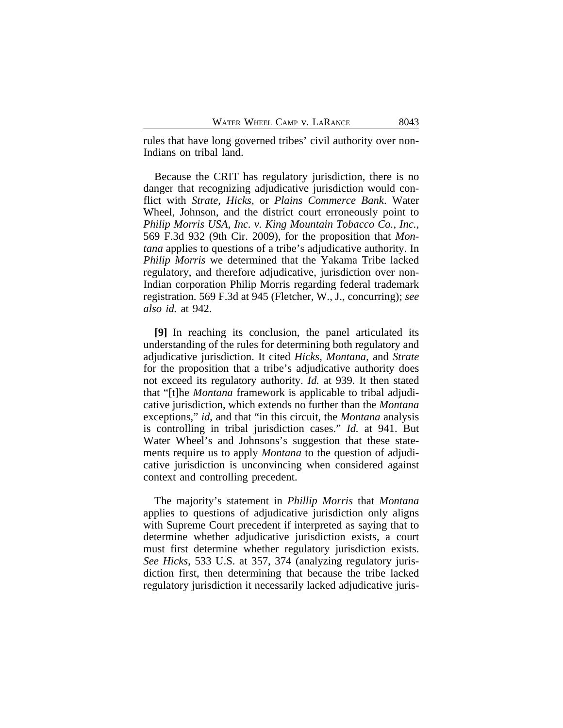rules that have long governed tribes' civil authority over non-Indians on tribal land.

Because the CRIT has regulatory jurisdiction, there is no danger that recognizing adjudicative jurisdiction would conflict with *Strate*, *Hicks*, or *Plains Commerce Bank*. Water Wheel, Johnson, and the district court erroneously point to *Philip Morris USA, Inc. v. King Mountain Tobacco Co., Inc.*, 569 F.3d 932 (9th Cir. 2009), for the proposition that *Montana* applies to questions of a tribe's adjudicative authority. In *Philip Morris* we determined that the Yakama Tribe lacked regulatory, and therefore adjudicative, jurisdiction over non-Indian corporation Philip Morris regarding federal trademark registration. 569 F.3d at 945 (Fletcher, W., J., concurring); *see also id.* at 942.

**[9]** In reaching its conclusion, the panel articulated its understanding of the rules for determining both regulatory and adjudicative jurisdiction. It cited *Hicks*, *Montana*, and *Strate* for the proposition that a tribe's adjudicative authority does not exceed its regulatory authority. *Id.* at 939. It then stated that "[t]he *Montana* framework is applicable to tribal adjudicative jurisdiction, which extends no further than the *Montana* exceptions," *id*, and that "in this circuit, the *Montana* analysis is controlling in tribal jurisdiction cases." *Id.* at 941. But Water Wheel's and Johnsons's suggestion that these statements require us to apply *Montana* to the question of adjudicative jurisdiction is unconvincing when considered against context and controlling precedent.

The majority's statement in *Phillip Morris* that *Montana* applies to questions of adjudicative jurisdiction only aligns with Supreme Court precedent if interpreted as saying that to determine whether adjudicative jurisdiction exists, a court must first determine whether regulatory jurisdiction exists. *See Hicks*, 533 U.S. at 357, 374 (analyzing regulatory jurisdiction first, then determining that because the tribe lacked regulatory jurisdiction it necessarily lacked adjudicative juris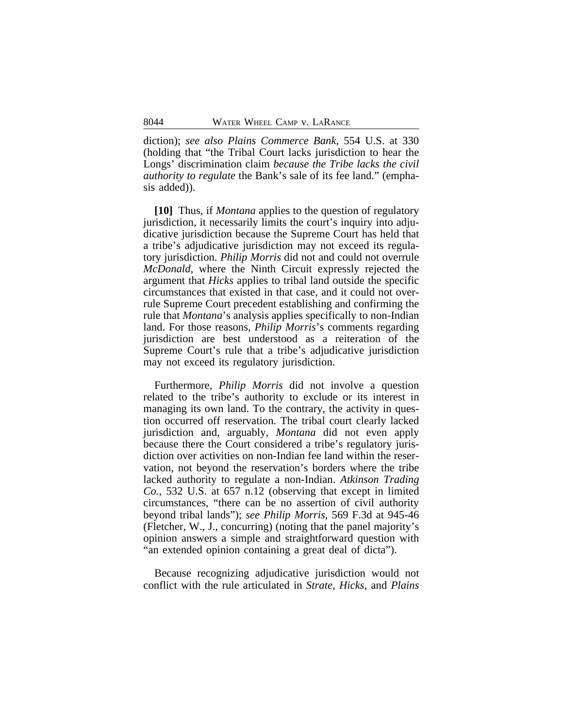diction); *see also Plains Commerce Bank*, 554 U.S. at 330 (holding that "the Tribal Court lacks jurisdiction to hear the Longs' discrimination claim *because the Tribe lacks the civil authority to regulate* the Bank's sale of its fee land." (emphasis added)).

**[10]** Thus, if *Montana* applies to the question of regulatory jurisdiction, it necessarily limits the court's inquiry into adjudicative jurisdiction because the Supreme Court has held that a tribe's adjudicative jurisdiction may not exceed its regulatory jurisdiction. *Philip Morris* did not and could not overrule *McDonald*, where the Ninth Circuit expressly rejected the argument that *Hicks* applies to tribal land outside the specific circumstances that existed in that case, and it could not overrule Supreme Court precedent establishing and confirming the rule that *Montana*'s analysis applies specifically to non-Indian land. For those reasons, *Philip Morris*'s comments regarding jurisdiction are best understood as a reiteration of the Supreme Court's rule that a tribe's adjudicative jurisdiction may not exceed its regulatory jurisdiction.

Furthermore, *Philip Morris* did not involve a question related to the tribe's authority to exclude or its interest in managing its own land. To the contrary, the activity in question occurred off reservation. The tribal court clearly lacked jurisdiction and, arguably, *Montana* did not even apply because there the Court considered a tribe's regulatory jurisdiction over activities on non-Indian fee land within the reservation, not beyond the reservation's borders where the tribe lacked authority to regulate a non-Indian. *Atkinson Trading Co.*, 532 U.S. at 657 n.12 (observing that except in limited circumstances, "there can be no assertion of civil authority beyond tribal lands"); *see Philip Morris*, 569 F.3d at 945-46 (Fletcher, W., J., concurring) (noting that the panel majority's opinion answers a simple and straightforward question with "an extended opinion containing a great deal of dicta").

Because recognizing adjudicative jurisdiction would not conflict with the rule articulated in *Strate*, *Hicks*, and *Plains*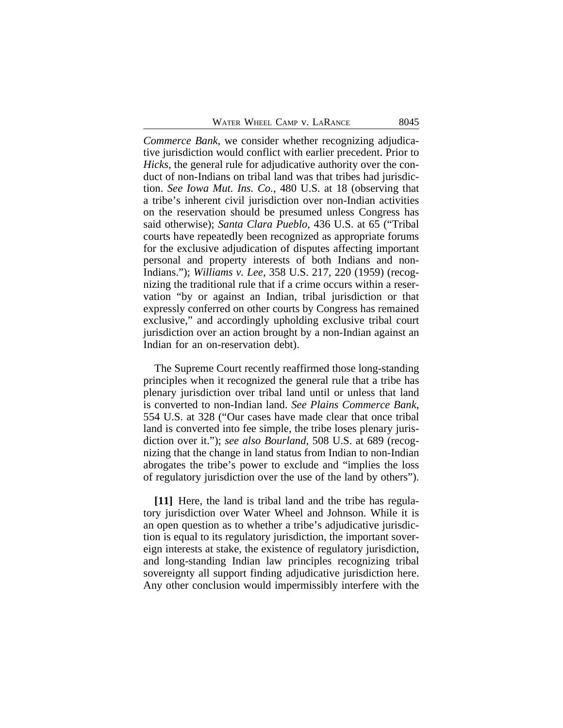*Commerce Bank*, we consider whether recognizing adjudicative jurisdiction would conflict with earlier precedent. Prior to *Hicks*, the general rule for adjudicative authority over the conduct of non-Indians on tribal land was that tribes had jurisdiction. *See Iowa Mut. Ins. Co.*, 480 U.S. at 18 (observing that a tribe's inherent civil jurisdiction over non-Indian activities on the reservation should be presumed unless Congress has said otherwise); *Santa Clara Pueblo*, 436 U.S. at 65 ("Tribal courts have repeatedly been recognized as appropriate forums for the exclusive adjudication of disputes affecting important personal and property interests of both Indians and non-Indians."); *Williams v. Lee*, 358 U.S. 217, 220 (1959) (recognizing the traditional rule that if a crime occurs within a reservation "by or against an Indian, tribal jurisdiction or that expressly conferred on other courts by Congress has remained exclusive," and accordingly upholding exclusive tribal court jurisdiction over an action brought by a non-Indian against an Indian for an on-reservation debt).

The Supreme Court recently reaffirmed those long-standing principles when it recognized the general rule that a tribe has plenary jurisdiction over tribal land until or unless that land is converted to non-Indian land. *See Plains Commerce Bank*, 554 U.S. at 328 ("Our cases have made clear that once tribal land is converted into fee simple, the tribe loses plenary jurisdiction over it."); *see also Bourland*, 508 U.S. at 689 (recognizing that the change in land status from Indian to non-Indian abrogates the tribe's power to exclude and "implies the loss of regulatory jurisdiction over the use of the land by others").

**[11]** Here, the land is tribal land and the tribe has regulatory jurisdiction over Water Wheel and Johnson. While it is an open question as to whether a tribe's adjudicative jurisdiction is equal to its regulatory jurisdiction, the important sovereign interests at stake, the existence of regulatory jurisdiction, and long-standing Indian law principles recognizing tribal sovereignty all support finding adjudicative jurisdiction here. Any other conclusion would impermissibly interfere with the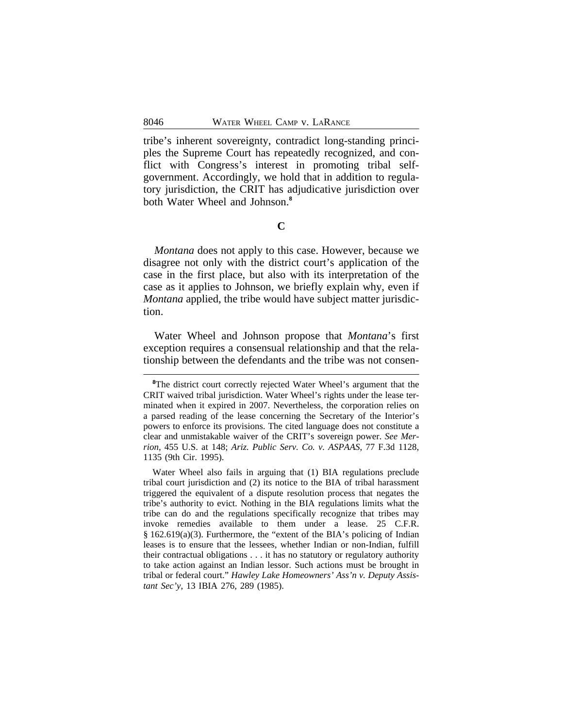tribe's inherent sovereignty, contradict long-standing principles the Supreme Court has repeatedly recognized, and conflict with Congress's interest in promoting tribal selfgovernment. Accordingly, we hold that in addition to regulatory jurisdiction, the CRIT has adjudicative jurisdiction over both Water Wheel and Johnson.**<sup>8</sup>**

**C**

*Montana* does not apply to this case. However, because we disagree not only with the district court's application of the case in the first place, but also with its interpretation of the case as it applies to Johnson, we briefly explain why, even if *Montana* applied, the tribe would have subject matter jurisdiction.

Water Wheel and Johnson propose that *Montana*'s first exception requires a consensual relationship and that the relationship between the defendants and the tribe was not consen-

<sup>&</sup>lt;sup>8</sup>The district court correctly rejected Water Wheel's argument that the CRIT waived tribal jurisdiction. Water Wheel's rights under the lease terminated when it expired in 2007. Nevertheless, the corporation relies on a parsed reading of the lease concerning the Secretary of the Interior's powers to enforce its provisions. The cited language does not constitute a clear and unmistakable waiver of the CRIT's sovereign power. *See Merrion*, 455 U.S. at 148; *Ariz. Public Serv. Co. v. ASPAAS*, 77 F.3d 1128, 1135 (9th Cir. 1995).

Water Wheel also fails in arguing that (1) BIA regulations preclude tribal court jurisdiction and (2) its notice to the BIA of tribal harassment triggered the equivalent of a dispute resolution process that negates the tribe's authority to evict. Nothing in the BIA regulations limits what the tribe can do and the regulations specifically recognize that tribes may invoke remedies available to them under a lease. 25 C.F.R. § 162.619(a)(3). Furthermore, the "extent of the BIA's policing of Indian leases is to ensure that the lessees, whether Indian or non-Indian, fulfill their contractual obligations . . . it has no statutory or regulatory authority to take action against an Indian lessor. Such actions must be brought in tribal or federal court." *Hawley Lake Homeowners' Ass'n v. Deputy Assistant Sec'y*, 13 IBIA 276, 289 (1985).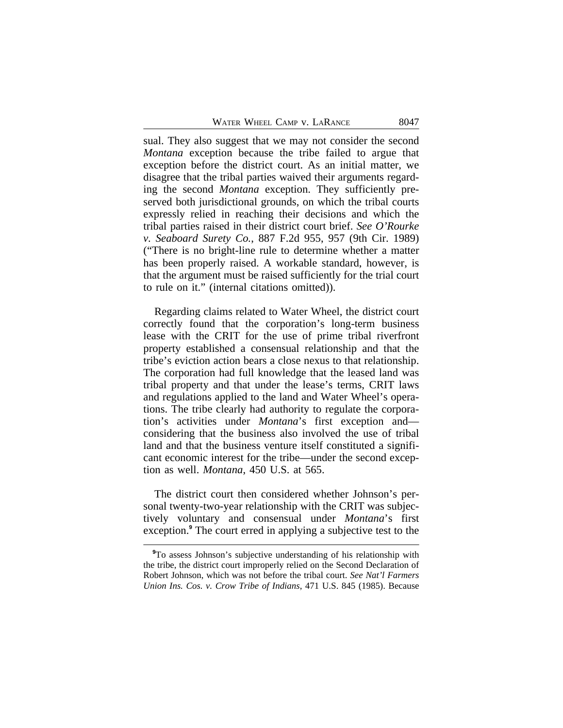sual. They also suggest that we may not consider the second *Montana* exception because the tribe failed to argue that exception before the district court. As an initial matter, we disagree that the tribal parties waived their arguments regarding the second *Montana* exception. They sufficiently preserved both jurisdictional grounds, on which the tribal courts expressly relied in reaching their decisions and which the tribal parties raised in their district court brief. *See O'Rourke v. Seaboard Surety Co.*, 887 F.2d 955, 957 (9th Cir. 1989) ("There is no bright-line rule to determine whether a matter has been properly raised. A workable standard, however, is that the argument must be raised sufficiently for the trial court to rule on it." (internal citations omitted)).

Regarding claims related to Water Wheel, the district court correctly found that the corporation's long-term business lease with the CRIT for the use of prime tribal riverfront property established a consensual relationship and that the tribe's eviction action bears a close nexus to that relationship. The corporation had full knowledge that the leased land was tribal property and that under the lease's terms, CRIT laws and regulations applied to the land and Water Wheel's operations. The tribe clearly had authority to regulate the corporation's activities under *Montana*'s first exception and considering that the business also involved the use of tribal land and that the business venture itself constituted a significant economic interest for the tribe—under the second exception as well. *Montana*, 450 U.S. at 565.

The district court then considered whether Johnson's personal twenty-two-year relationship with the CRIT was subjectively voluntary and consensual under *Montana*'s first exception.**<sup>9</sup>** The court erred in applying a subjective test to the

**<sup>9</sup>**To assess Johnson's subjective understanding of his relationship with the tribe, the district court improperly relied on the Second Declaration of Robert Johnson, which was not before the tribal court. *See Nat'l Farmers Union Ins. Cos. v. Crow Tribe of Indians*, 471 U.S. 845 (1985). Because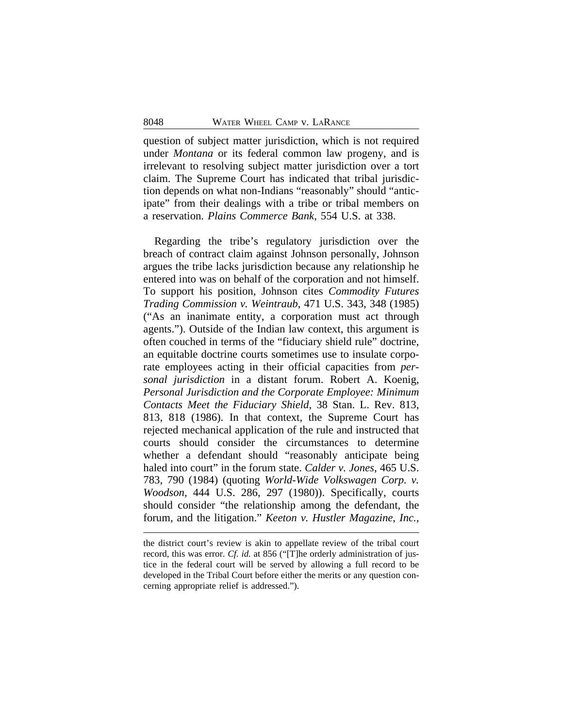question of subject matter jurisdiction, which is not required under *Montana* or its federal common law progeny, and is irrelevant to resolving subject matter jurisdiction over a tort claim. The Supreme Court has indicated that tribal jurisdiction depends on what non-Indians "reasonably" should "anticipate" from their dealings with a tribe or tribal members on a reservation. *Plains Commerce Bank*, 554 U.S. at 338.

Regarding the tribe's regulatory jurisdiction over the breach of contract claim against Johnson personally, Johnson argues the tribe lacks jurisdiction because any relationship he entered into was on behalf of the corporation and not himself. To support his position, Johnson cites *Commodity Futures Trading Commission v. Weintraub*, 471 U.S. 343, 348 (1985) ("As an inanimate entity, a corporation must act through agents."). Outside of the Indian law context, this argument is often couched in terms of the "fiduciary shield rule" doctrine, an equitable doctrine courts sometimes use to insulate corporate employees acting in their official capacities from *personal jurisdiction* in a distant forum. Robert A. Koenig, *Personal Jurisdiction and the Corporate Employee: Minimum Contacts Meet the Fiduciary Shield*, 38 Stan. L. Rev. 813, 813, 818 (1986). In that context, the Supreme Court has rejected mechanical application of the rule and instructed that courts should consider the circumstances to determine whether a defendant should "reasonably anticipate being haled into court" in the forum state. *Calder v. Jones*, 465 U.S. 783, 790 (1984) (quoting *World-Wide Volkswagen Corp. v. Woodson*, 444 U.S. 286, 297 (1980)). Specifically, courts should consider "the relationship among the defendant, the forum, and the litigation." *Keeton v. Hustler Magazine*, *Inc.*,

the district court's review is akin to appellate review of the tribal court record, this was error. *Cf. id.* at 856 ("[T]he orderly administration of justice in the federal court will be served by allowing a full record to be developed in the Tribal Court before either the merits or any question concerning appropriate relief is addressed.").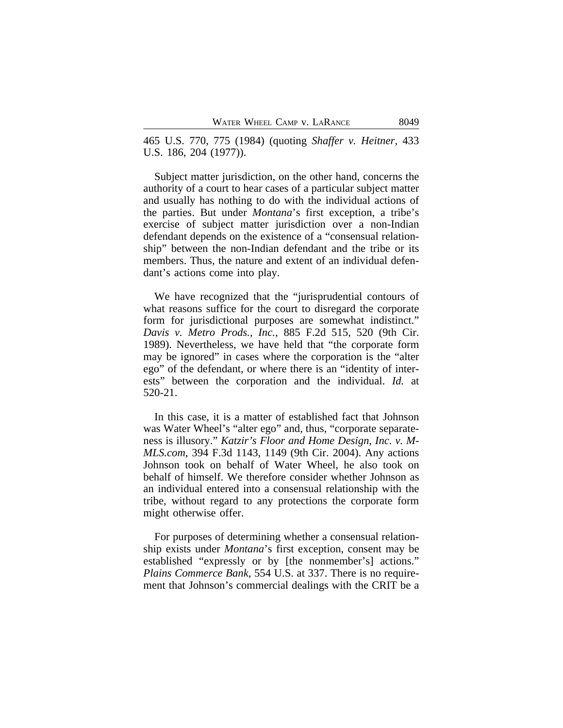465 U.S. 770, 775 (1984) (quoting *Shaffer v. Heitner*, 433 U.S. 186, 204 (1977)).

Subject matter jurisdiction, on the other hand, concerns the authority of a court to hear cases of a particular subject matter and usually has nothing to do with the individual actions of the parties. But under *Montana*'s first exception, a tribe's exercise of subject matter jurisdiction over a non-Indian defendant depends on the existence of a "consensual relationship" between the non-Indian defendant and the tribe or its members. Thus, the nature and extent of an individual defendant's actions come into play.

We have recognized that the "jurisprudential contours of what reasons suffice for the court to disregard the corporate form for jurisdictional purposes are somewhat indistinct." *Davis v. Metro Prods., Inc.*, 885 F.2d 515, 520 (9th Cir. 1989). Nevertheless, we have held that "the corporate form may be ignored" in cases where the corporation is the "alter ego" of the defendant, or where there is an "identity of interests" between the corporation and the individual. *Id.* at 520-21.

In this case, it is a matter of established fact that Johnson was Water Wheel's "alter ego" and, thus, "corporate separateness is illusory." *Katzir's Floor and Home Design, Inc. v. M-MLS.com*, 394 F.3d 1143, 1149 (9th Cir. 2004). Any actions Johnson took on behalf of Water Wheel, he also took on behalf of himself. We therefore consider whether Johnson as an individual entered into a consensual relationship with the tribe, without regard to any protections the corporate form might otherwise offer.

For purposes of determining whether a consensual relationship exists under *Montana*'s first exception, consent may be established "expressly or by [the nonmember's] actions." *Plains Commerce Bank*, 554 U.S. at 337. There is no requirement that Johnson's commercial dealings with the CRIT be a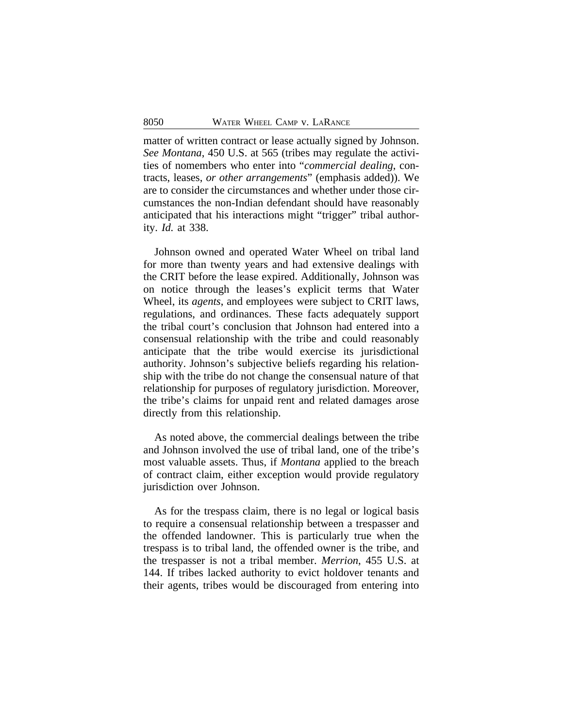matter of written contract or lease actually signed by Johnson. *See Montana*, 450 U.S. at 565 (tribes may regulate the activities of nomembers who enter into "*commercial dealing*, contracts, leases, *or other arrangements*" (emphasis added)). We are to consider the circumstances and whether under those circumstances the non-Indian defendant should have reasonably anticipated that his interactions might "trigger" tribal authority. *Id.* at 338.

Johnson owned and operated Water Wheel on tribal land for more than twenty years and had extensive dealings with the CRIT before the lease expired. Additionally, Johnson was on notice through the leases's explicit terms that Water Wheel, its *agents*, and employees were subject to CRIT laws, regulations, and ordinances. These facts adequately support the tribal court's conclusion that Johnson had entered into a consensual relationship with the tribe and could reasonably anticipate that the tribe would exercise its jurisdictional authority. Johnson's subjective beliefs regarding his relationship with the tribe do not change the consensual nature of that relationship for purposes of regulatory jurisdiction. Moreover, the tribe's claims for unpaid rent and related damages arose directly from this relationship.

As noted above, the commercial dealings between the tribe and Johnson involved the use of tribal land, one of the tribe's most valuable assets. Thus, if *Montana* applied to the breach of contract claim, either exception would provide regulatory jurisdiction over Johnson.

As for the trespass claim, there is no legal or logical basis to require a consensual relationship between a trespasser and the offended landowner. This is particularly true when the trespass is to tribal land, the offended owner is the tribe, and the trespasser is not a tribal member. *Merrion*, 455 U.S. at 144. If tribes lacked authority to evict holdover tenants and their agents, tribes would be discouraged from entering into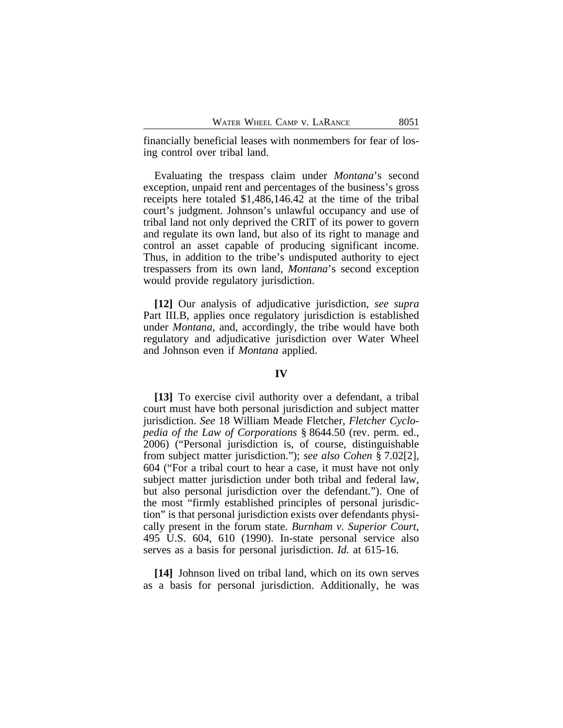financially beneficial leases with nonmembers for fear of losing control over tribal land.

Evaluating the trespass claim under *Montana*'s second exception, unpaid rent and percentages of the business's gross receipts here totaled \$1,486,146.42 at the time of the tribal court's judgment. Johnson's unlawful occupancy and use of tribal land not only deprived the CRIT of its power to govern and regulate its own land, but also of its right to manage and control an asset capable of producing significant income. Thus, in addition to the tribe's undisputed authority to eject trespassers from its own land, *Montana*'s second exception would provide regulatory jurisdiction.

**[12]** Our analysis of adjudicative jurisdiction, *see supra* Part III.B, applies once regulatory jurisdiction is established under *Montana*, and, accordingly, the tribe would have both regulatory and adjudicative jurisdiction over Water Wheel and Johnson even if *Montana* applied.

#### **IV**

**[13]** To exercise civil authority over a defendant, a tribal court must have both personal jurisdiction and subject matter jurisdiction. *See* 18 William Meade Fletcher, *Fletcher Cyclopedia of the Law of Corporations* § 8644.50 (rev. perm. ed., 2006) ("Personal jurisdiction is, of course, distinguishable from subject matter jurisdiction."); *see also Cohen* § 7.02[2], 604 ("For a tribal court to hear a case, it must have not only subject matter jurisdiction under both tribal and federal law, but also personal jurisdiction over the defendant."). One of the most "firmly established principles of personal jurisdiction" is that personal jurisdiction exists over defendants physically present in the forum state. *Burnham v. Superior Court*, 495 U.S. 604, 610 (1990). In-state personal service also serves as a basis for personal jurisdiction. *Id.* at 615-16.

**[14]** Johnson lived on tribal land, which on its own serves as a basis for personal jurisdiction. Additionally, he was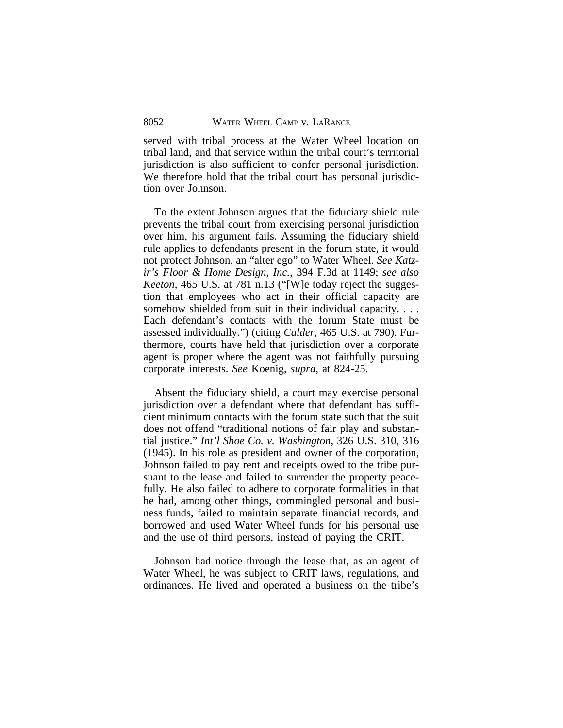served with tribal process at the Water Wheel location on tribal land, and that service within the tribal court's territorial jurisdiction is also sufficient to confer personal jurisdiction. We therefore hold that the tribal court has personal jurisdiction over Johnson.

To the extent Johnson argues that the fiduciary shield rule prevents the tribal court from exercising personal jurisdiction over him, his argument fails. Assuming the fiduciary shield rule applies to defendants present in the forum state, it would not protect Johnson, an "alter ego" to Water Wheel. *See Katzir's Floor & Home Design, Inc.*, 394 F.3d at 1149; *see also Keeton*, 465 U.S. at 781 n.13 ("[W]e today reject the suggestion that employees who act in their official capacity are somehow shielded from suit in their individual capacity. . . . Each defendant's contacts with the forum State must be assessed individually.") (citing *Calder*, 465 U.S. at 790). Furthermore, courts have held that jurisdiction over a corporate agent is proper where the agent was not faithfully pursuing corporate interests. *See* Koenig, *supra*, at 824-25.

Absent the fiduciary shield, a court may exercise personal jurisdiction over a defendant where that defendant has sufficient minimum contacts with the forum state such that the suit does not offend "traditional notions of fair play and substantial justice." *Int'l Shoe Co. v. Washington*, 326 U.S. 310, 316 (1945). In his role as president and owner of the corporation, Johnson failed to pay rent and receipts owed to the tribe pursuant to the lease and failed to surrender the property peacefully. He also failed to adhere to corporate formalities in that he had, among other things, commingled personal and business funds, failed to maintain separate financial records, and borrowed and used Water Wheel funds for his personal use and the use of third persons, instead of paying the CRIT.

Johnson had notice through the lease that, as an agent of Water Wheel, he was subject to CRIT laws, regulations, and ordinances. He lived and operated a business on the tribe's